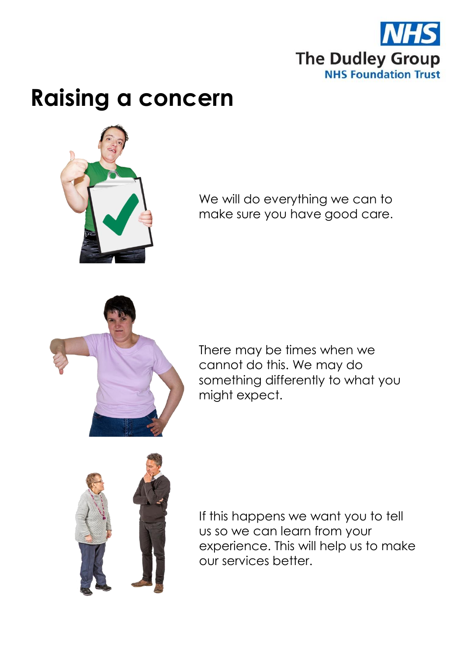

## **Raising a concern**



We will do everything we can to make sure you have good care.



There may be times when we cannot do this. We may do something differently to what you might expect.



If this happens we want you to tell us so we can learn from your experience. This will help us to make our services better.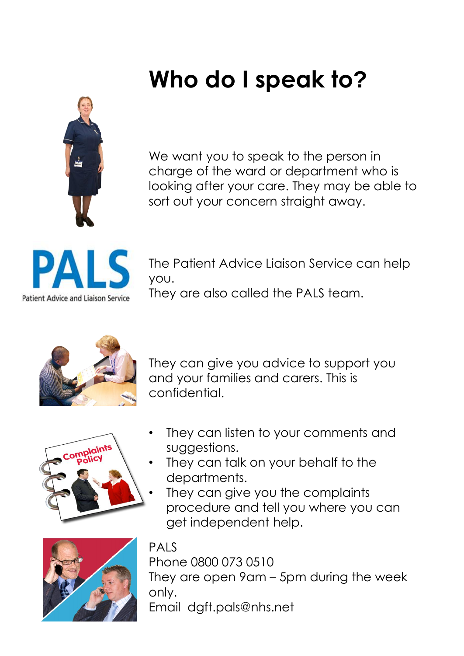# **Who do I speak to?**



We want you to speak to the person in charge of the ward or department who is looking after your care. They may be able to sort out your concern straight away.



The Patient Advice Liaison Service can help you.

They are also called the PALS team.



They can give you advice to support you and your families and carers. This is confidential.



- They can listen to your comments and suggestions.
- They can talk on your behalf to the departments.
- They can give you the complaints procedure and tell you where you can get independent help.



#### **PALS**

Phone 0800 073 0510 They are open 9am – 5pm during the week only. Email dgft.pals@nhs.net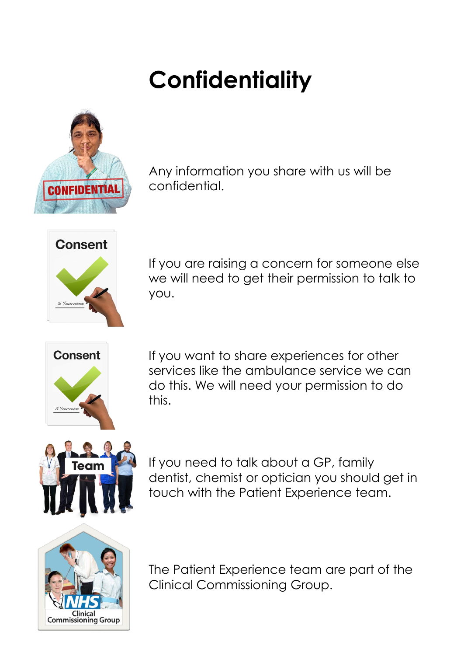# **Confidentiality**



Any information you share with us will be confidential.



If you are raising a concern for someone else we will need to get their permission to talk to you.



If you want to share experiences for other services like the ambulance service we can do this. We will need your permission to do this.



If you need to talk about a GP, family dentist, chemist or optician you should get in touch with the Patient Experience team.



The Patient Experience team are part of the Clinical Commissioning Group.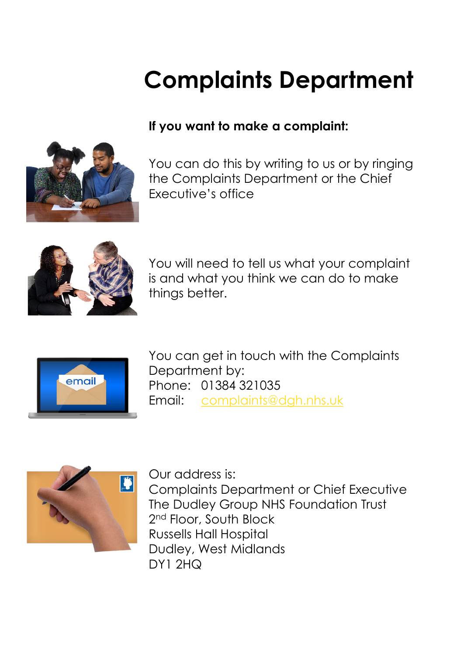# **Complaints Department**

#### **If you want to make a complaint:**

You can do this by writing to us or by ringing the Complaints Department or the Chief Executive's office



You will need to tell us what your complaint is and what you think we can do to make things better.



You can get in touch with the Complaints Department by: Phone: 01384 321035 Email: [complaints@dgh.nhs.uk](mailto:complaints@dgh.nhs.uk)



Our address is: Complaints Department or Chief Executive The Dudley Group NHS Foundation Trust 2<sup>nd</sup> Floor, South Block Russells Hall Hospital Dudley, West Midlands DY1 2HQ

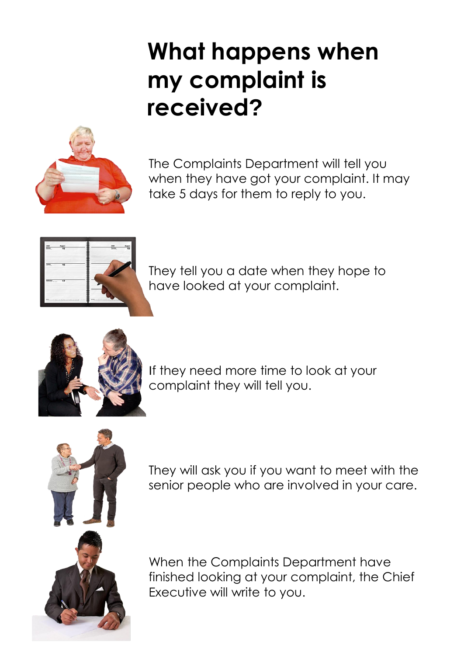### **What happens when my complaint is received?**



The Complaints Department will tell you when they have got your complaint. It may take 5 days for them to reply to you.



They tell you a date when they hope to have looked at your complaint.



If they need more time to look at your complaint they will tell you.



They will ask you if you want to meet with the senior people who are involved in your care.

When the Complaints Department have finished looking at your complaint, the Chief Executive will write to you.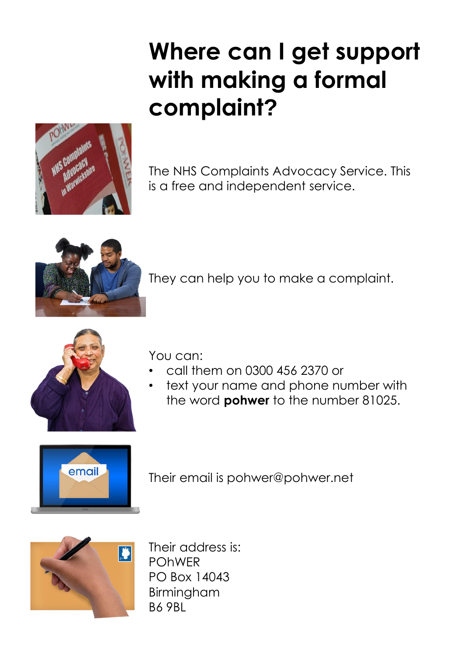## **Where can I get support with making a formal complaint?**



The NHS Complaints Advocacy Service. This is a free and independent service.



They can help you to make a complaint.



You can:

- call them on 0300 456 2370 or
- text your name and phone number with the word **pohwer** to the number 81025.



Their email is pohwer@pohwer.net



Their address is: POhWER PO Box 14043 Birmingham B6 9BL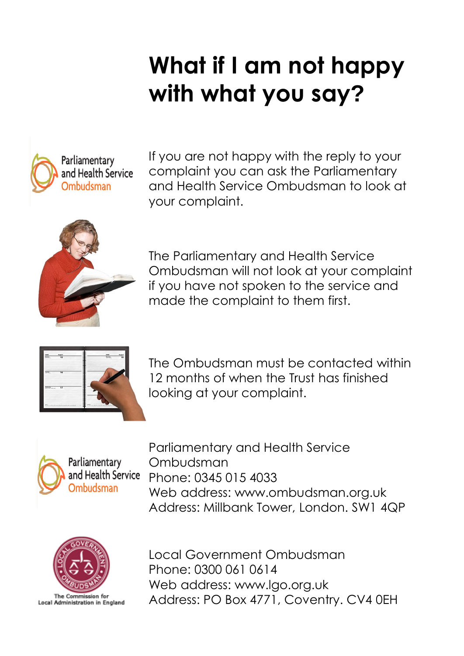# **What if I am not happy with what you say?**



If you are not happy with the reply to your complaint you can ask the Parliamentary and Health Service Ombudsman to look at your complaint.



The Parliamentary and Health Service Ombudsman will not look at your complaint if you have not spoken to the service and made the complaint to them first.



The Ombudsman must be contacted within 12 months of when the Trust has finished looking at your complaint.



Parliamentary and Health Service Ombudsman Phone: 0345 015 4033 Web address: www.ombudsman.org.uk Address: Millbank Tower, London. SW1 4QP



The Commission for Local Administration in England Local Government Ombudsman Phone: 0300 061 0614 Web address: www.lgo.org.uk Address: PO Box 4771, Coventry. CV4 0EH